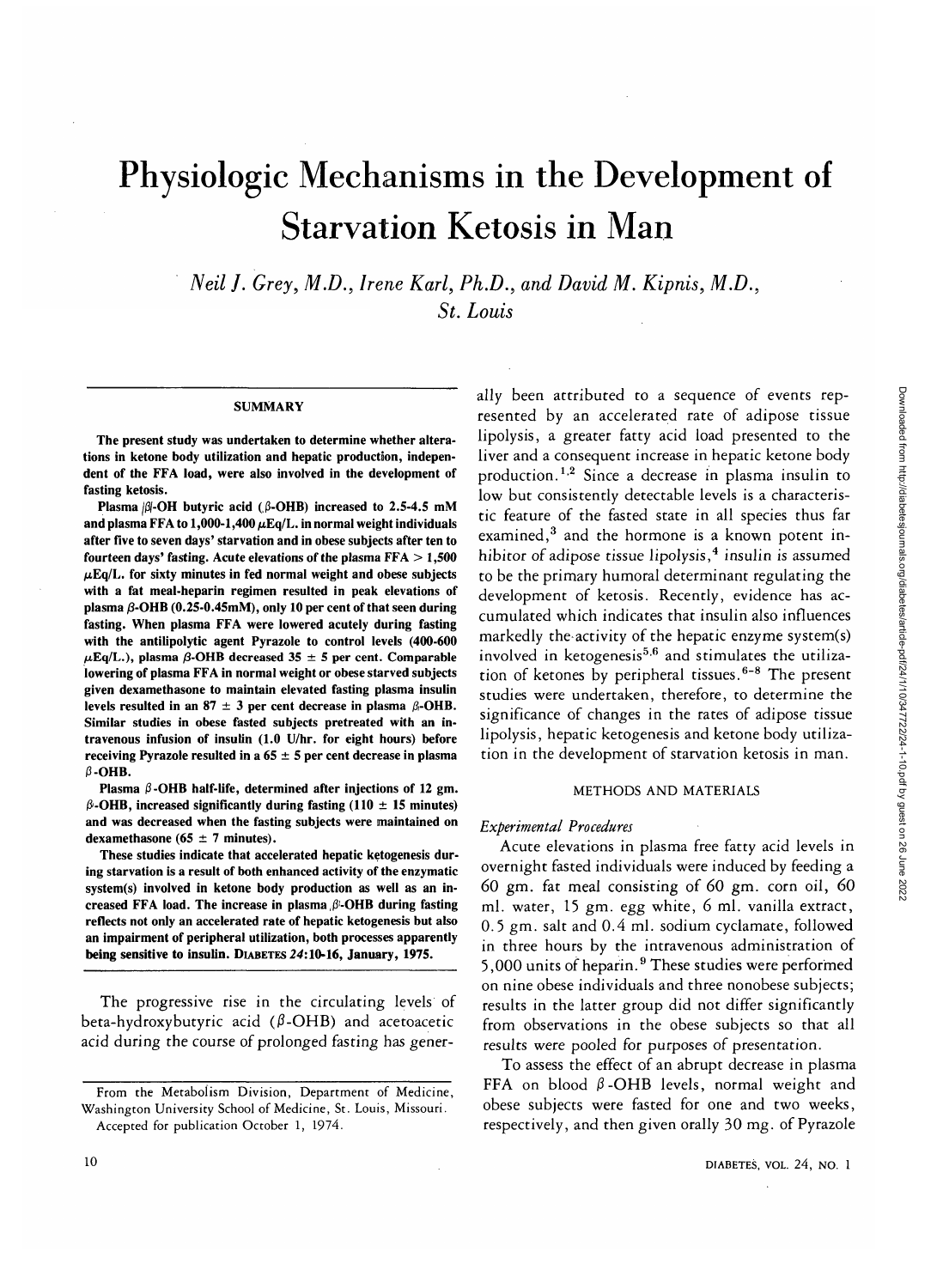# Physiologic Mechanisms in the Development of Starvation Ketosis in Man

*Neil J. Grey, M.D., Irene Karl, Ph.D., and David M. Kipnis, M.D., St. Louis*

#### **SUMMARY**

**The present study was undertaken to determine whether alterations in ketone body utilization and hepatic production, independent of the FFA load, were also involved in the development of fasting ketosis.**

**Plasma**  $\beta$ **-OH butyric acid (** $\beta$ **-OHB) increased to 2.5-4.5 mM** and plasma FFA to  $1,000-1,400 \mu\text{Eq/L}$ . in normal weight individuals **after five to seven days' starvation and in obese subjects after ten to fourteen days' fasting. Acute elevations of the plasma FFA > 1,500**  $\mu$ Eq/L. for sixty minutes in fed normal weight and obese subjects **with a fat meal-heparin regimen resulted in peak elevations of plasma /3-OHB (0.25-0.45mM), only 10 per cent of that seen during fasting. When plasma FFA were lowered acutely during fasting with the antilipolytic agent Pyrazole to control levels (400-600**  $\mu$ Eq/L.), plasma  $\beta$ -OHB decreased 35  $\pm$  5 per cent. Comparable **lowering of plasma FFA in normal weight or obese starved subjects given dexamethasone to maintain elevated fasting plasma insulin** levels resulted in an  $87 \pm 3$  per cent decrease in plasma  $\beta$ -OHB. **Similar studies in obese fasted subjects pretreated with an intravenous infusion of insulin (1.0 U/hr. for eight hours) before receiving Pyrazole resulted in a 65 ± 5 per cent decrease in plasma**  $\beta$ -OHB.

Plasma  $\beta$ -OHB half-life, determined after injections of 12 gm. **(3-OHB, increased significantly during fasting (110 ± 15 minutes) and was decreased when the fasting subjects were maintained on dexamethasone (65 ± 7 minutes).**

**These studies indicate that accelerated hepatic ketogenesis during starvation is a result of both enhanced activity of the enzymatic system(s) involved in ketone body production as well as an increased FFA load. The increase in plasma,(3-OHB during fasting reflects not only an accelerated rate of hepatic ketogenesis but also an impairment of peripheral utilization, both processes apparently being sensitive to insulin. DIABETES 24:10-16, January, 1975.**

The progressive rise in the circulating levels of beta-hydroxybutyric acid  $(\beta$ -OHB) and acetoacetic acid during the course of prolonged fasting has generally been attributed to a sequence of events represented by an accelerated rate of adipose tissue lipolysis, a greater fatty acid load presented to the liver and a consequent increase in hepatic ketone body production.<sup>1,2</sup> Since a decrease in plasma insulin to low but consistently detectable levels is a characteristic feature of the fasted state in all species thus far examined,<sup>3</sup> and the hormone is a known potent inhibitor of adipose tissue lipolysis, $4$  insulin is assumed to be the primary humoral determinant regulating the development of ketosis. Recently, evidence has accumulated which indicates that insulin also influences markedly the activity of the hepatic enzyme system(s) involved in ketogenesis<sup>5,6</sup> and stimulates the utilization of ketones by peripheral tissues.<sup>6-8</sup> The present studies were undertaken, therefore, to determine the significance of changes in the rates of adipose tissue lipolysis, hepatic ketogenesis and ketone body utilization in the development of starvation ketosis in man.

## METHODS AND MATERIALS

#### *Experimental Procedures*

Acute elevations in plasma free fatty acid levels in overnight fasted individuals were induced by feeding a 60 gm. fat meal consisting of 60 gm. corn oil, 60 ml. water, 15 gm. egg white, 6 ml. vanilla extract, 0.5 gm. salt and 0.4 ml. sodium cyclamate, followed in three hours by the intravenous administration of 5,000 units of heparin.<sup>9</sup> These studies were performed on nine obese individuals and three nonobese subjects; results in the latter group did not differ significantly from observations in the obese subjects so that all results were pooled for purposes of presentation.

To assess the effect of an abrupt decrease in plasma FFA on blood  $\beta$ -OHB levels, normal weight and obese subjects were fasted for one and two weeks, respectively, and then given orally 30 mg. of Pyrazole

**From the Metabolism Division, Department of Medicine, Washington University School of Medicine, St. Louis, Missouri. Accepted for publication October 1, 1974.**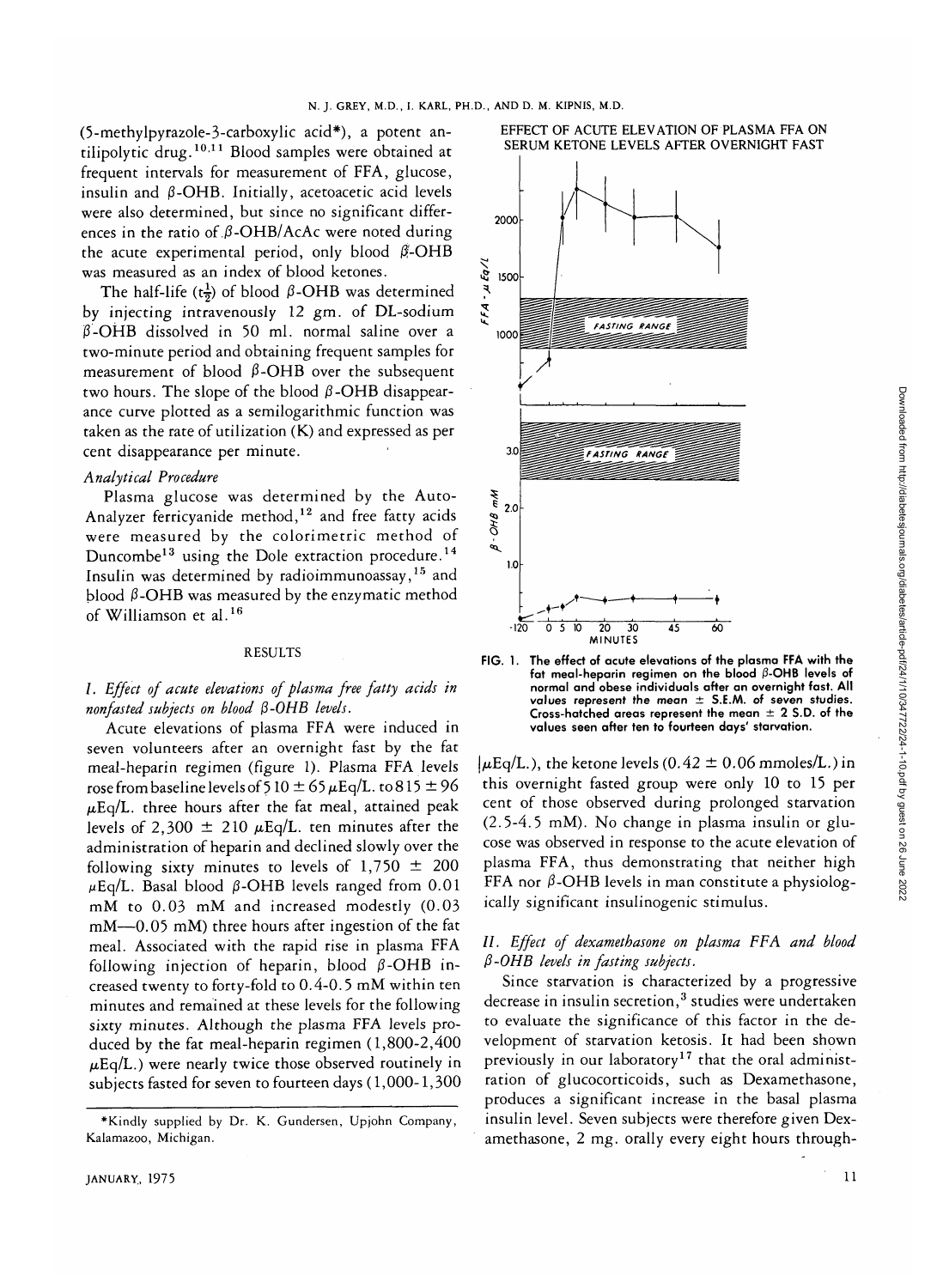(5-methylpyrazole-3-carboxylic acid\*), a potent antilipolytic drug.<sup>10,11</sup> Blood samples were obtained at frequent intervals for measurement of FFA, glucose, insulin and  $\beta$ -OHB. Initially, acetoacetic acid levels were also determined, but since no significant differences in the ratio of  $\beta$ -OHB/AcAc were noted during the acute experimental period, only blood  $\beta$ -OHB was measured as an index of blood ketones.

The half-life ( $t\frac{1}{2}$ ) of blood  $\beta$ -OHB was determined by injecting intravenously 12 gm. of DL-sodium  $\beta$ -OHB dissolved in 50 ml. normal saline over a two-minute period and obtaining frequent samples for measurement of blood  $\beta$ -OHB over the subsequent two hours. The slope of the blood  $\beta$ -OHB disappearance curve plotted as a semilogarithmic function was taken as the rate of utilization (K) and expressed as per cent disappearance per minute.

## *Analytical Procedure*

Plasma glucose was determined by the Auto-Analyzer ferricyanide method,<sup>12</sup> and free fatty acids were measured by the colorimetric method of Duncombe<sup>13</sup> using the Dole extraction procedure.<sup>14</sup> Insulin was determined by radioimmunoassay,<sup>15</sup> and blood  $β$ -OHB was measured by the enzymatic method of Williamson et al.<sup>16</sup>

## RESULTS

## /. *Effect of acute elevations of plasma free fatty acids in nonfasted subjects on blood* (3-OHB *levels.*

Acute elevations of plasma FFA were induced in seven volunteers after an overnight fast by the fat meal-heparin regimen (figure 1). Plasma FFA levels rose from baseline levels of 5 10  $\pm$  65  $\mu$ Eq/L. to 815  $\pm$  96  $\mu$ Eq/L. three hours after the fat meal, attained peak levels of 2,300  $\pm$  210  $\mu$ Eq/L. ten minutes after the administration of heparin and declined slowly over the following sixty minutes to levels of  $1,750 \pm 200$  $\mu$ Eq/L. Basal blood  $\beta$ -OHB levels ranged from 0.01 mM to 0.03 mM and increased modestly (0.03 mM—0.05 mM) three hours after ingestion of the fat meal. Associated with the rapid rise in plasma FFA following injection of heparin, blood  $\beta$ -OHB increased twenty to forty-fold to 0.4-0.5 mM within ten minutes and remained at these levels for the following sixty minutes. Although the plasma FFA levels produced by the fat meal-heparin regimen (1,800-2,400  $\mu$ Eq/L.) were nearly twice those observed routinely in subjects fasted for seven to fourteen days (1,000-1,300





**FIG. 1. The effect of acute elevations of the plasma FFA with the fat meal-heparin regimen on the blood (3-OHB levels of normal and obese individuals after an overnight fast. All values represent the mean ± S.E.AA. of seven studies. Cross-hatched areas represent the mean ± 2 S.D. of the values seen after ten to fourteen days' starvation.**

 $|\mu \text{Eq/L.} \rangle$ , the ketone levels (0.42  $\pm$  0.06 mmoles/L.) in this overnight fasted group were only 10 to 15 per cent of those observed during prolonged starvation (2.5-4.5 mM). No change in plasma insulin or glucose was observed in response to the acute elevation of plasma FFA, thus demonstrating that neither high FFA nor  $\beta$ -OHB levels in man constitute a physiologically significant insulinogenic stimulus.

# //. *Effect of dexamethasone on plasma FFA and blood P-OHB levels in fasting subjects.*

Since starvation is characterized by a progressive decrease in insulin secretion, $^{\rm 3}$  studies were undertaken to evaluate the significance of this factor in the development of starvation ketosis. It had been shown previously in our laboratory<sup>17</sup> that the oral administration of glucocorticoids, such as Dexamethasone, produces a significant increase in the basal plasma insulin level. Seven subjects were therefore given Dexamethasone, 2 mg. orally every eight hours through-

<sup>\*</sup>KindIy supplied by Dr. K. Gundersen, Upjohn Company, Kalamazoo, Michigan.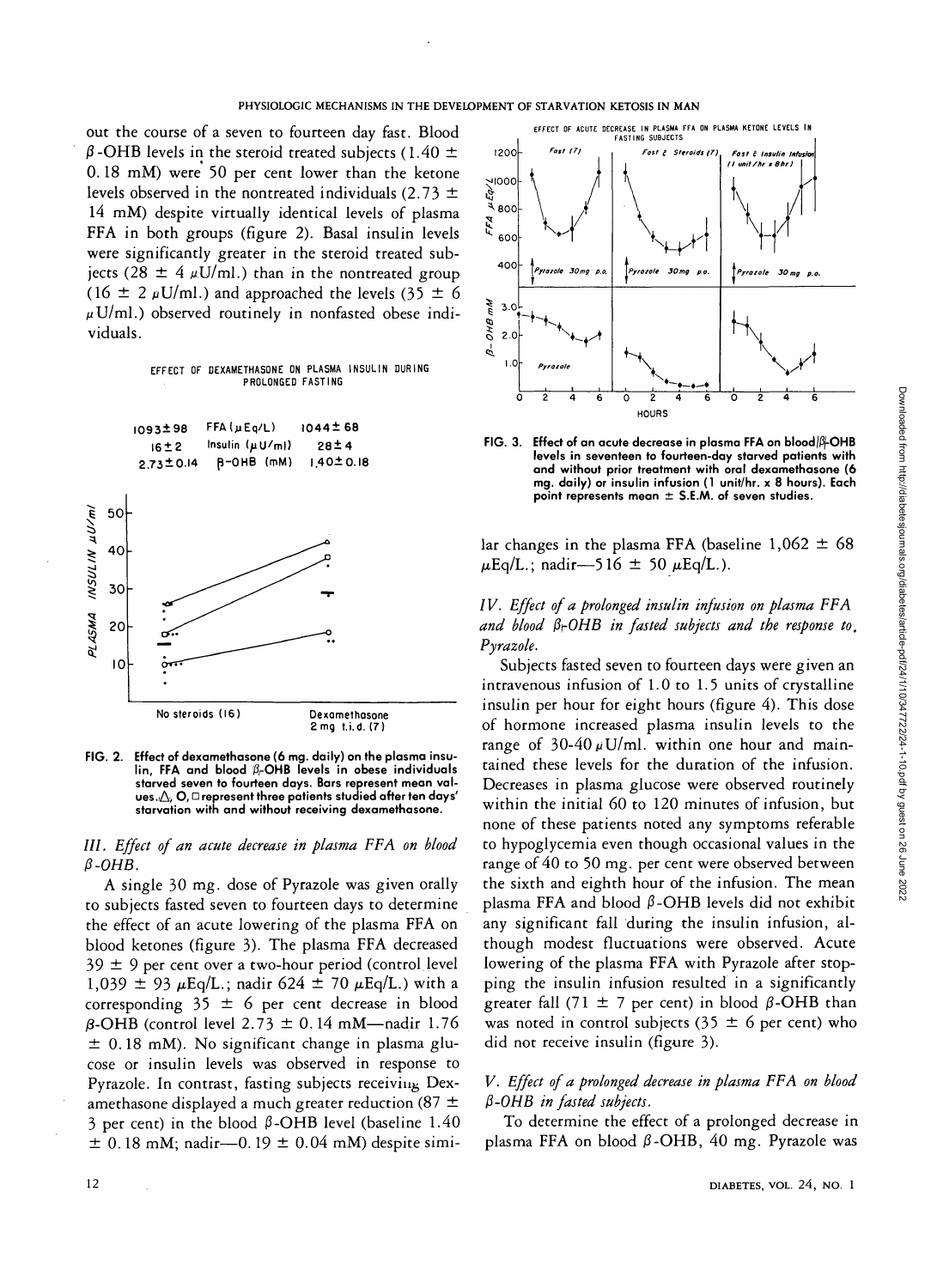out the course of a seven to fourteen day fast. Blood  $\beta$ -OHB levels in the steroid treated subjects (1.40  $\pm$ 0.18 mM) were 50 per cent lower than the ketone levels observed in the nontreated individuals (2.73  $\pm$ 14 mM) despite virtually identical levels of plasma FFA in both groups (figure 2). Basal insulin levels were significantly greater in the steroid treated subjects (28  $\pm$  4  $\mu$ U/ml.) than in the nontreated group (16  $\pm$  2  $\mu$ U/ml.) and approached the levels (35  $\pm$  6  $\mu$ U/ml.) observed routinely in nonfasted obese individuals.

EFFECT OF DEXAMETHASONE ON PLASMA INSULIN DURING PROLONGED FASTING



**FIG. 2. Effect of dexamethasone (6 mg. daily) on the plasma insulin, FFA and blood A-OHB levels in obese individuals starved seven to fourteen days. Bars represent mean val**ues.  $\triangle$ , O,  $\square$  represent three patients studied after ten days' **starvation with and without receiving dexamethasone.**

///. *Effect of an acute decrease in plasma FFA on blood*  $\beta$ -OHB.

*A* single 30 mg. dose of Pyrazole was given orally to subjects fasted seven to fourteen days to determine the effect of an acute lowering of the plasma FFA on blood ketones (figure 3). The plasma FFA decreased  $39 \pm 9$  per cent over a two-hour period (control level  $1,039 \pm 93 \mu$ Eq/L.; nadir 624  $\pm$  70  $\mu$ Eq/L.) with a corresponding  $35 \pm 6$  per cent decrease in blood  $\beta$ -OHB (control level 2.73  $\pm$  0.14 mM—nadir 1.76  $±$  0.18 mM). No significant change in plasma glucose or insulin levels was observed in response to Pyrazole. In contrast, fasting subjects receiving Dexamethasone displayed a much greater reduction (87  $\pm$  $3$  per cent) in the blood  $\beta$ -OHB level (baseline 1.40  $\pm$  0.18 mM; nadir—0.19  $\pm$  0.04 mM) despite simi-



**FIG. 3. Effect of an acute decrease in plasma FFA on blood|(3|-OHB levels in seventeen to fourteen-day starved patients with and without prior treatment with oral dexamethasone (6 mg. daily) or insulin infusion (1 unit/hr. x 8 hours). Each point represents mean ± S.E.M. of seven studies.**

lar changes in the plasma FFA (baseline  $1,062 \pm 68$  $\mu$ Eq/L.; nadir—5 16 ± 50  $\mu$ Eq/L.).

*IV. Effect of a prolonged insulin infusion on plasma FFA and blood Pi-OHB in fasted subjects and the response to, Pyrazole.*

Subjects fasted seven to fourteen days were given an intravenous infusion of 1.0 to 1.5 units of crystalline insulin per hour for eight hours (figure 4). This dose of hormone increased plasma insulin levels to the range of  $30-40 \mu$ U/ml. within one hour and maintained these levels for the duration of the infusion. Decreases in plasma glucose were observed routinely within the initial 60 to 120 minutes of infusion, but none of these patients noted any symptoms referable to hypoglycemia even though occasional values in the range of 40 to 50 mg. per cent were observed between the sixth and eighth hour of the infusion. The mean plasma FFA and blood  $\beta$ -OHB levels did not exhibit any significant fall during the insulin infusion, although modest fluctuations were observed. Acute lowering of the plasma FFA with Pyrazole after stopping the insulin infusion resulted in a significantly greater fall (71  $\pm$  7 per cent) in blood  $\beta$ -OHB than was noted in control subjects (35  $\pm$  6 per cent) who did not receive insulin (figure 3).

# *V. Effect of a prolonged decrease in plasma FFA on blood P-OHB in fasted subjects.*

To determine the effect of a prolonged decrease in plasma FFA on blood  $\beta$ -OHB, 40 mg. Pyrazole was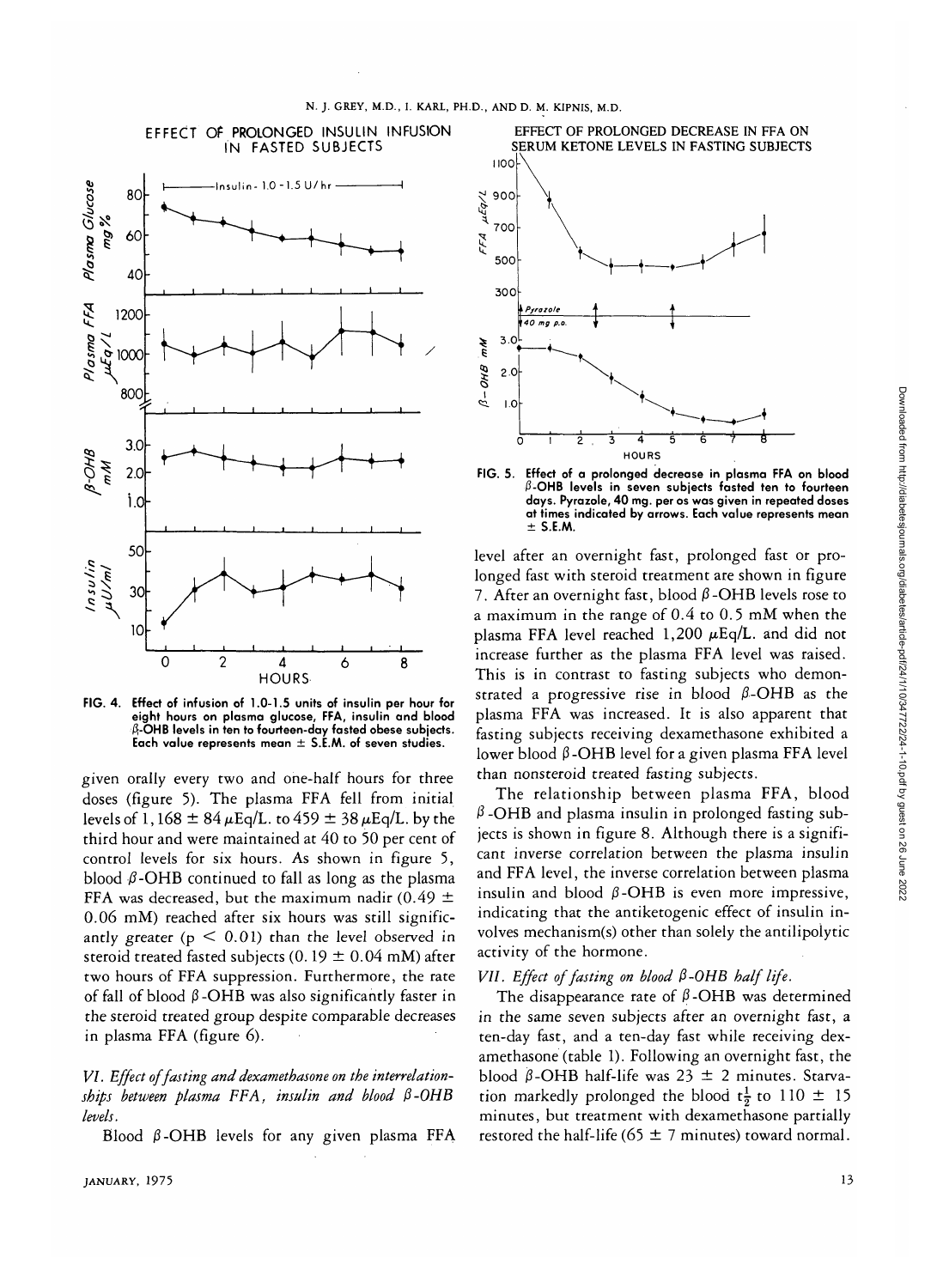## EFFECT OF PROLONGED INSULIN INFUSION IN FASTED SUBJECTS



**FIG. 4. Effect of infusion of 1.0-1.5 units of insulin per hour for eight hours on plasma glucose, FFA, insulin and blood A-OHB levels in ten to fourteen-day fasted obese subjects. Each value represents mean ± S.E.M. of seven studies.**

given orally every two and one-half hours for three doses (figure 5). The plasma FFA fell from initial levels of 1,168  $\pm$  84  $\mu$ Eq/L. to 459  $\pm$  38  $\mu$ Eq/L. by the third hour and were maintained at 40 to 50 per cent of control levels for six hours. As shown in figure 5, blood  $\beta$ -OHB continued to fall as long as the plasma FFA was decreased, but the maximum nadir (0.49  $\pm$ 0.06 mM) reached after six hours was still significantly greater ( $p < 0.01$ ) than the level observed in steroid treated fasted subjects (0.19  $\pm$  0.04 mM) after two hours of FFA suppression. Furthermore, the rate of fall of blood  $\beta$ -OHB was also significantly faster in the steroid treated group despite comparable decreases in plasma FFA (figure 6).

# *VI. Effect of fasting and dexamethasone on the interrelationships between plasma FFA, insulin and blood P-OHB levels.*

Blood  $\beta$ -OHB levels for any given plasma FFA



EFFECT OF PROLONGED DECREASE IN FFA ON SERUM KETONE LEVELS IN FASTING SUBJECTS

**FIG. 5. Effect of a prolonged decrease in plasma FFA on blood /3-OHB levels in seven subjects fasted ten to fourteen days. Pyrazole, 40 mg. per os was given in repeated doses at times indicated by arrows. Each value represents mean ± S.E.M.**

level after an overnight fast, prolonged fast or prolonged fast with steroid treatment are shown in figure 7. After an overnight fast, blood  $\beta$ -OHB levels rose to a maximum in the range of 0.4 to 0.5 mM when the plasma FFA level reached 1,200  $\mu$ Eq/L. and did not increase further as the plasma FFA level was raised. This is in contrast to fasting subjects who demonstrated a progressive rise in blood  $\beta$ -OHB as the plasma FFA was increased. It is also apparent that fasting subjects receiving dexamethasone exhibited a lower blood  $\beta$ -OHB level for a given plasma FFA level than nonsteroid treated fasting subjects.

The relationship between plasma FFA, blood  $\beta$ -OHB and plasma insulin in prolonged fasting subjects is shown in figure 8. Although there is a significant inverse correlation between the plasma insulin and FFA level, the inverse correlation between plasma insulin and blood  $\beta$ -OHB is even more impressive, indicating that the antiketogenic effect of insulin involves mechanism(s) other than solely the antilipolytic activity of the hormone.

## *VII. Effect of fasting on blood P-0HB half life.*

The disappearance rate of  $\beta$ -OHB was determined in the same seven subjects after an overnight fast, a ten-day fast, and a ten-day fast while receiving dexamethasone (table 1). Following an overnight fast, the blood  $\beta$ -OHB half-life was 23  $\pm$  2 minutes. Starvation markedly prolonged the blood  $t\frac{1}{2}$  to 110  $\pm$  15 minutes, but treatment with dexamethasone partially restored the half-life (65  $\pm$  7 minutes) toward normal.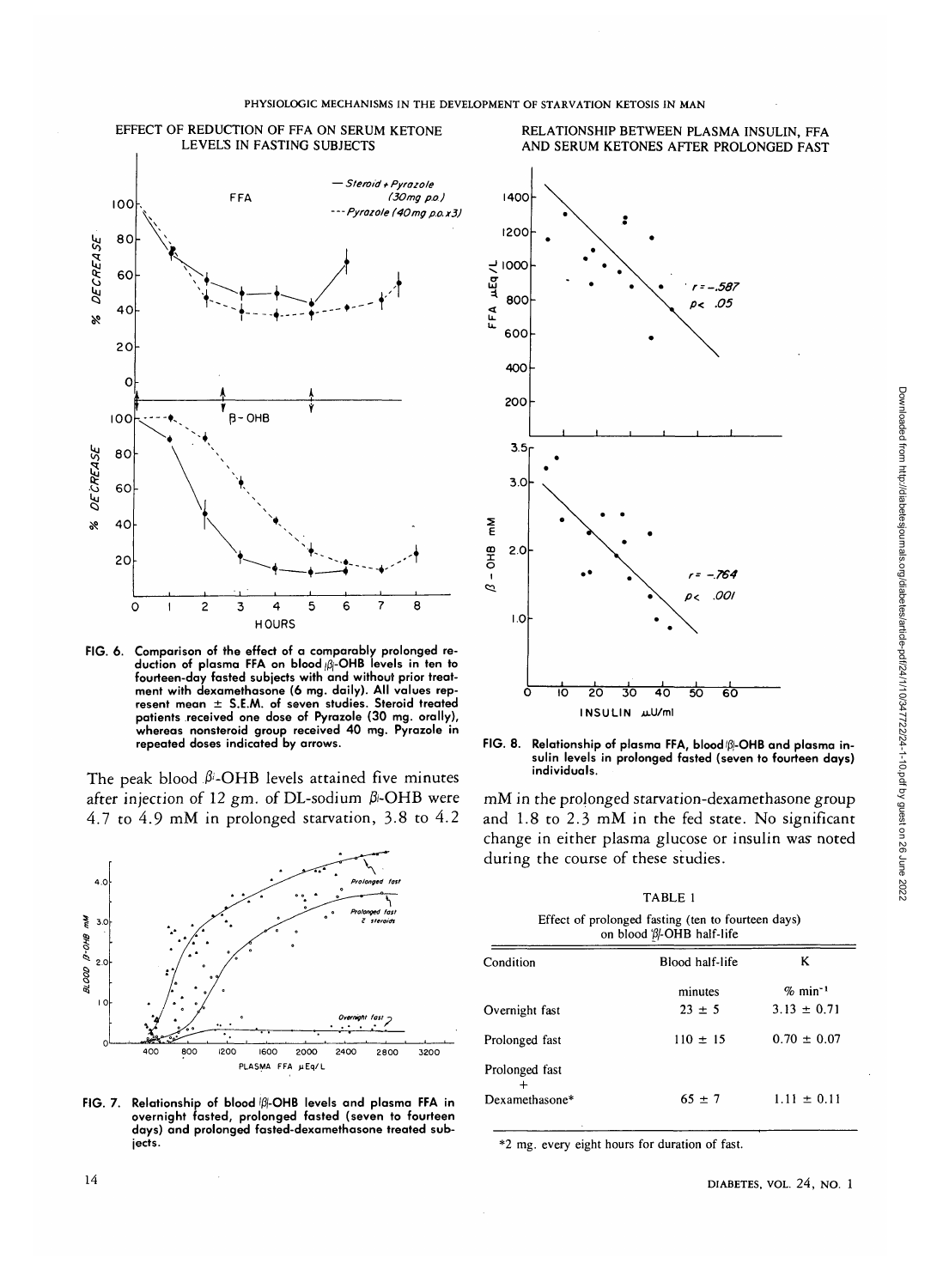

**FIG. 6. Comparison of the effect of a comparably prolonged reduction of plasma FFA on blood //3j-OHB levels in ten to fourteen-day fasted subjects with and without prior treatment with dexamethasone (6 mg. daily). All values represent mean ± S.E.AA. of seven studies. Steroid treated patients received one dose of Pyrazole (30 mg. orally), whereas nonsteroid group received 40 mg. Pyrazole in repeated doses indicated by arrows.**

The peak blood  $\beta$ -OHB levels attained five minutes after injection of 12 gm. of DL-sodium  $\beta$ -OHB were 4.7 to 4.9 mM in prolonged starvation, 3.8 to 4.2



FIG. 7. Relationship of blood <sup>|  $\beta$ </sup>-OHB levels and plasma FFA in **overnight fasted, prolonged fasted (seven to fourteen days) and prolonged fasted-dexamethasone treated subjects.**



FIG. 8. Relationship of plasma FFA, blood (B)-OHB and plasma in**sulin levels in prolonged fasted (seven to fourteen days) individuals.**

mM in the prolonged starvation-dexamethasone group and 1.8 to 2.3 mM in the fed state. No significant change in either plasma glucose or insulin was noted during the course of these studies.

TABLE 1 Effect of prolonged fasting (ten to fourteen days)

| on blood 'β -OHB half-life |                 |                       |
|----------------------------|-----------------|-----------------------|
| Condition                  | Blood half-life | ĸ                     |
|                            | minutes         | $%$ min <sup>-1</sup> |
| Overnight fast             | $23 \pm 5$      | $3.13 \pm 0.71$       |
| Prolonged fast             | $110 \pm 15$    | $0.70 \pm 0.07$       |
| Prolonged fast             |                 |                       |
| Dexamethasone*             | $65 \pm 7$      | $1.11 \pm 0.11$       |

\*2 mg. every eight hours for duration of fast.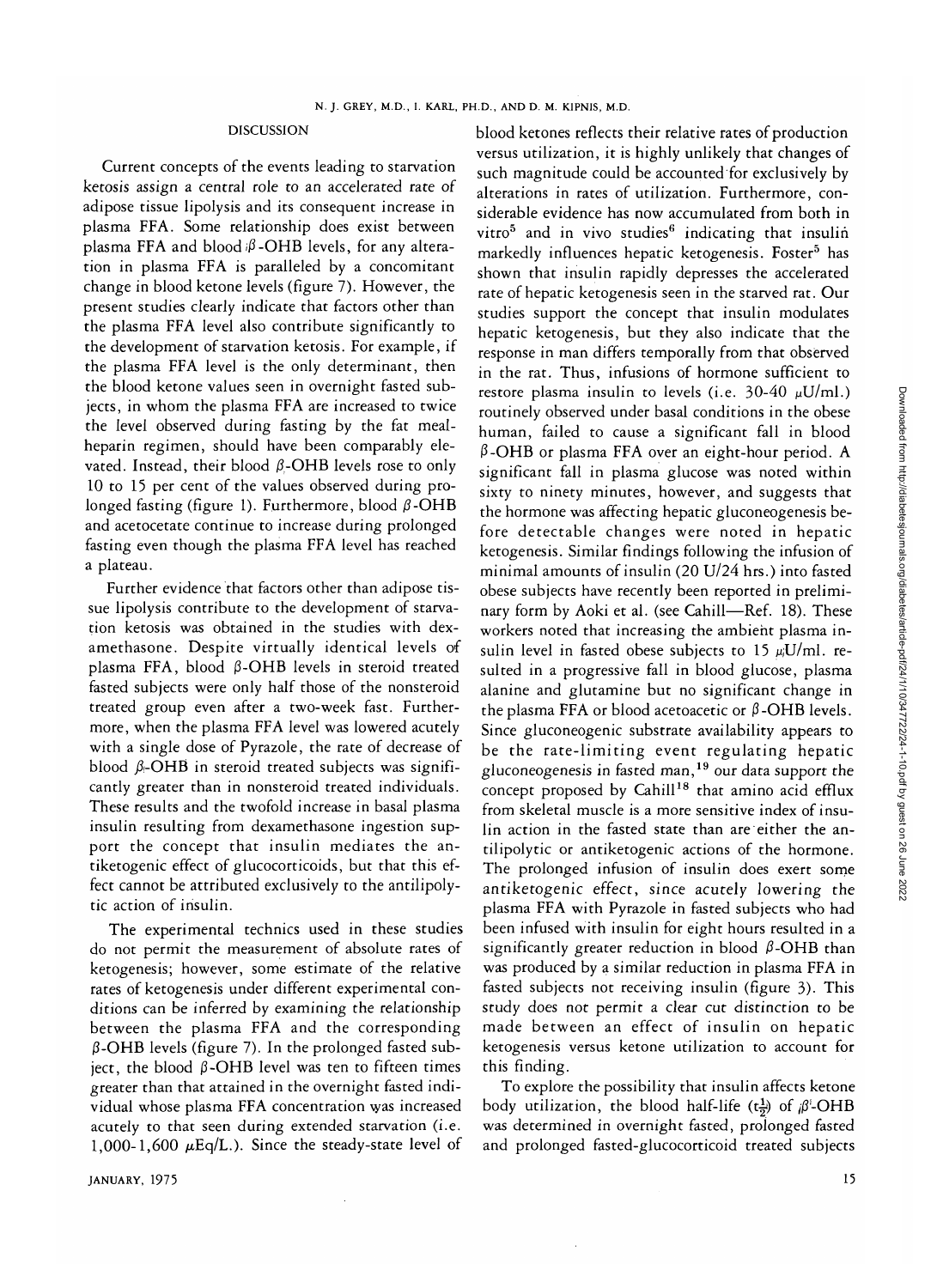## DISCUSSION

Current concepts of the events leading to starvation ketosis assign a central role to an accelerated rate of adipose tissue lipolysis and its consequent increase in plasma FFA. Some relationship does exist between plasma FFA and blood  $\beta$ -OHB levels, for any alteration in plasma FFA is paralleled by a concomitant change in blood ketone levels (figure 7). However, the present studies clearly indicate that factors other than the plasma FFA level also contribute significantly to the development of starvation ketosis. For example, if the plasma FFA level is the only determinant, then the blood ketone values seen in overnight fasted subjects, in whom the plasma FFA are increased to twice the level observed during fasting by the fat mealheparin regimen, should have been comparably elevated. Instead, their blood  $\beta$ -OHB levels rose to only 10 to 15 per cent of the values observed during prolonged fasting (figure 1). Furthermore, blood  $\beta$ -OHB and acetocetate continue to increase during prolonged fasting even though the plasma FFA level has reached a plateau.

Further evidence that factors other than adipose tissue lipolysis contribute to the development of starvation ketosis was obtained in the studies with dexamethasone. Despite virtually identical levels of plasma FFA, blood  $\beta$ -OHB levels in steroid treated fasted subjects were only half those of the nonsteroid treated group even after a two-week fast. Furthermore, when the plasma FFA level was lowered acutely with a single dose of Pyrazole, the rate of decrease of blood  $\beta$ -OHB in steroid treated subjects was significantly greater than in nonsteroid treated individuals. These results and the twofold increase in basal plasma insulin resulting from dexamethasone ingestion support the concept that insulin mediates the antiketogenic effect of glucocorticoids, but that this effect cannot be attributed exclusively to the antilipolytic action of insulin.

The experimental technics used in these studies do not permit the measurement of absolute rates of ketogenesis; however, some estimate of the relative rates of ketogenesis under different experimental conditions can be inferred by examining the relationship between the plasma FFA and the corresponding  $\beta$ -OHB levels (figure 7). In the prolonged fasted subject, the blood  $\beta$ -OHB level was ten to fifteen times greater than that attained in the overnight fasted individual whose plasma FFA concentration was increased acutely to that seen during extended starvation (i.e. 1,000-1,600  $\mu$ Eq/L.). Since the steady-state level of blood ketones reflects their relative rates of production versus utilization, it is highly unlikely that changes of such magnitude could be accounted for exclusively by alterations in rates of utilization. Furthermore, considerable evidence has now accumulated from both in vitro<sup>5</sup> and in vivo studies<sup>6</sup> indicating that insulin markedly influences hepatic ketogenesis. Foster<sup>5</sup> has shown that insulin rapidly depresses the accelerated rate of hepatic ketogenesis seen in the starved rat. Our studies support the concept that insulin modulates hepatic ketogenesis, but they also indicate that the response in man differs temporally from that observed in the rat. Thus, infusions of hormone sufficient to restore plasma insulin to levels (i.e.  $30-40 \mu U/ml$ .) routinely observed under basal conditions in the obese human, failed to cause a significant fall in blood  $\beta$ -OHB or plasma FFA over an eight-hour period. A significant fall in plasma glucose was noted within sixty to ninety minutes, however, and suggests that the hormone was affecting hepatic gluconeogenesis before detectable changes were noted in hepatic ketogenesis. Similar findings following the infusion of minimal amounts of insulin (20 U/24 hrs.) into fasted obese subjects have recently been reported in preliminary form by Aoki et al. (see Cahill—Ref. 18). These workers noted that increasing the ambient plasma insulin level in fasted obese subjects to 15  $\mu$ J/ml. resulted in a progressive fall in blood glucose, plasma alanine and glutamine but no significant change in the plasma FFA or blood acetoacetic or  $\beta$ -OHB levels. Since gluconeogenic substrate availability appears to be the rate-limiting event regulating hepatic pe the rate-miniting event regulating nepatities gruconeogenesis in fasted man, <sup>2</sup> our data support the from skeletal muscle is a more sensitive index of insulin action in the fasted state than are either the antilipolytic or antiketogenic actions of the hormone. The prolonged infusion of insulin does exert some antiketogenic effect, since acutely lowering the antike before the control additive formulation of the subjects who had plasma TTA with I yiazoic in lasted subjects who had been infused with insulin for eight hours resulted in a significantly greater reduction in blood  $\beta$ -OHB than was produced by a similar reduction in player  $\mathbb{F}_{\mathbb{F}_{q}}$  in production in production in production in production in production in production in production in production in production in production in production in pr was produced by a similar reduction in plasma  $111$  in fasted subjects not receiving insulin (figure 3). This study does not permit a clear cut distinction to be made between an effect of insulin on hepatic ketogenesis versus ketone utilization to account for this finding.

To explore the possibility that insulin affects ketone body utilization, the blood half-life ( $t\frac{1}{2}$ ) of  $\beta^1$ -OHB was determined in overnight fasted, prolonged fasted and prolonged fasted-glucocorticoid treated subjects